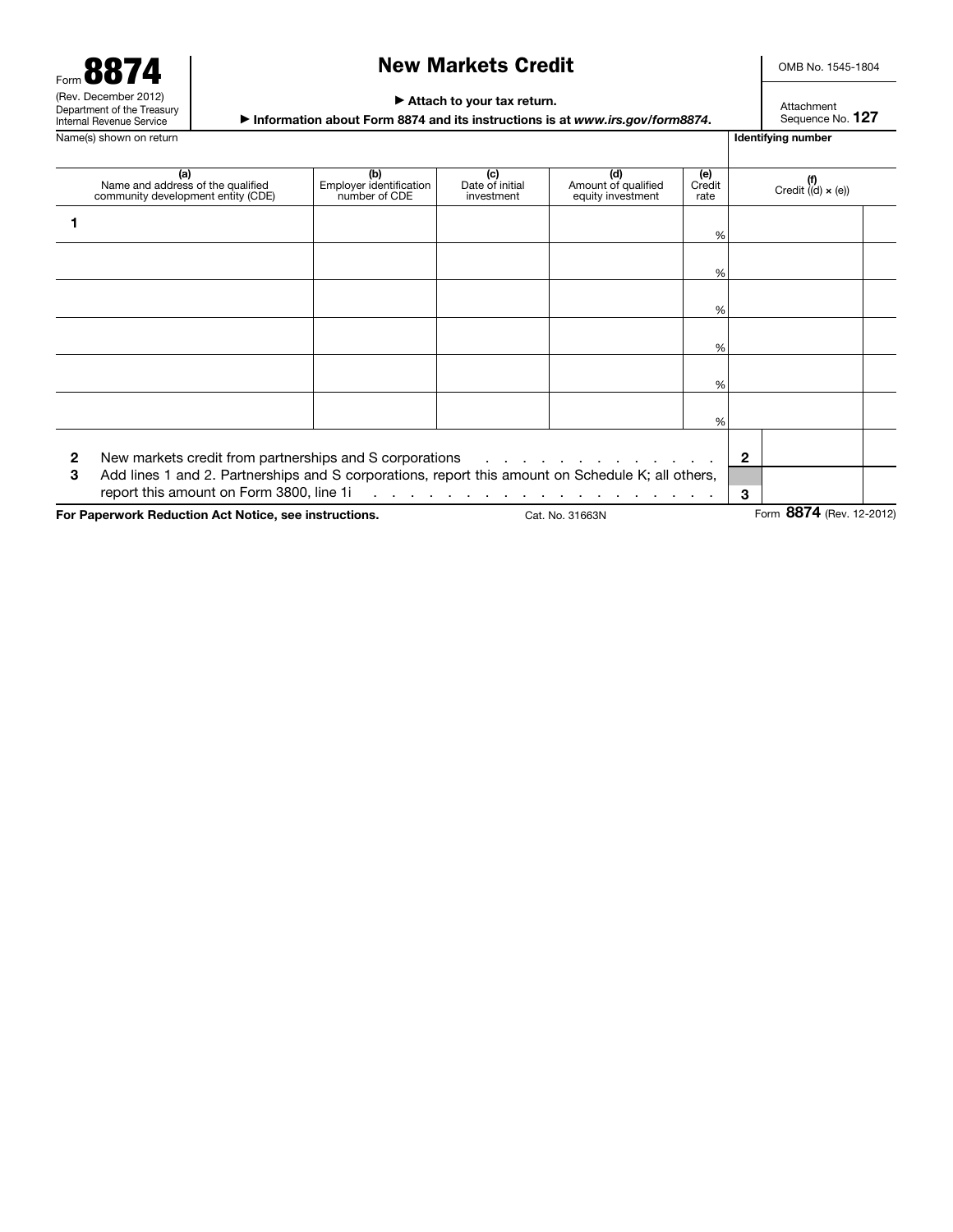Form 8874 (Rev. December 2012) Department of the Treasury Internal Revenue Service Name(s) shown on return **IDENTIFYING** Name(s) shown on return **IDENTIFYING** Name(s) shown on return **IDENTIFYING** 

## New Markets Credit

OMB No. 1545-1804

#### ▶ Attach to your tax return.

▶ Information about Form 8874 and its instructions is at *www.irs.gov/form8874*.

Attachment Sequence No. 127

|                                                                          | (a)<br>Name and address of the qualified<br>community development entity (CDE)                                                                                                                           | (b)<br>Employer identification<br>number of CDE               | (c)<br>Date of initial<br>investment | (d)<br>Amount of qualified<br>equity investment | (e)<br>Credit<br>rate | $(f)$<br>Credit ((d) $\times$ (e)) |  |  |  |
|--------------------------------------------------------------------------|----------------------------------------------------------------------------------------------------------------------------------------------------------------------------------------------------------|---------------------------------------------------------------|--------------------------------------|-------------------------------------------------|-----------------------|------------------------------------|--|--|--|
|                                                                          |                                                                                                                                                                                                          |                                                               |                                      |                                                 | %                     |                                    |  |  |  |
|                                                                          |                                                                                                                                                                                                          |                                                               |                                      |                                                 | %                     |                                    |  |  |  |
|                                                                          |                                                                                                                                                                                                          |                                                               |                                      |                                                 | %                     |                                    |  |  |  |
|                                                                          |                                                                                                                                                                                                          |                                                               |                                      |                                                 | %                     |                                    |  |  |  |
|                                                                          |                                                                                                                                                                                                          |                                                               |                                      |                                                 | ℅                     |                                    |  |  |  |
|                                                                          |                                                                                                                                                                                                          |                                                               |                                      |                                                 | %                     |                                    |  |  |  |
| 2<br>3                                                                   | New markets credit from partnerships and S corporations<br>Add lines 1 and 2. Partnerships and S corporations, report this amount on Schedule K; all others,<br>report this amount on Form 3800, line 1i | the second contract of the contract of the second contract of | $\mathbf{2}$<br>3                    |                                                 |                       |                                    |  |  |  |
| For Paperwork Reduction Act Notice, see instructions.<br>Cat. No. 31663N |                                                                                                                                                                                                          |                                                               |                                      |                                                 |                       | Form 8874 (Rev. 12-2012)           |  |  |  |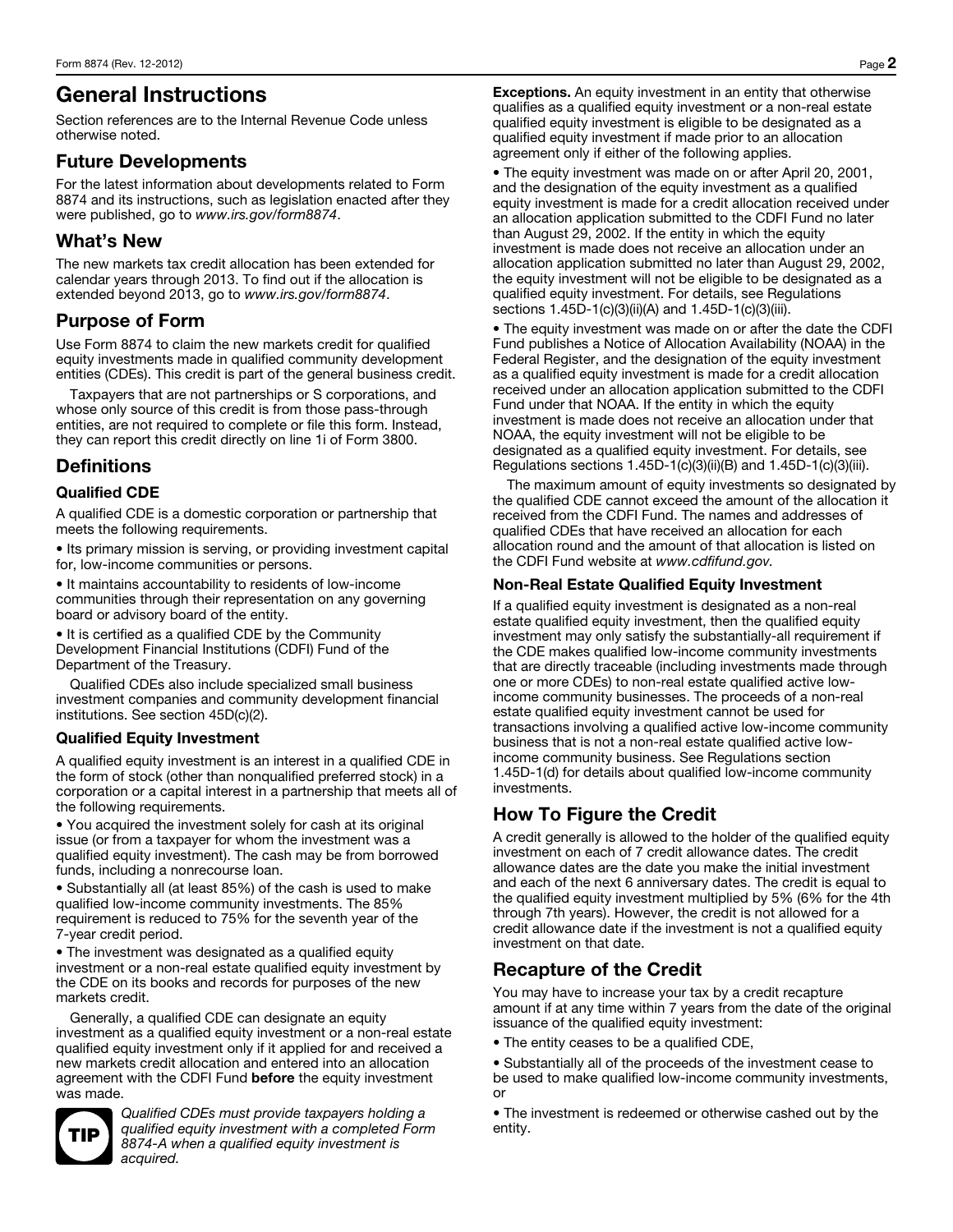# General Instructions

Section references are to the Internal Revenue Code unless otherwise noted.

### Future Developments

For the latest information about developments related to Form 8874 and its instructions, such as legislation enacted after they were published, go to *www.irs.gov/form8874*.

### What's New

The new markets tax credit allocation has been extended for calendar years through 2013. To find out if the allocation is extended beyond 2013, go to *www.irs.gov/form8874*.

### Purpose of Form

Use Form 8874 to claim the new markets credit for qualified equity investments made in qualified community development entities (CDEs). This credit is part of the general business credit.

Taxpayers that are not partnerships or S corporations, and whose only source of this credit is from those pass-through entities, are not required to complete or file this form. Instead, they can report this credit directly on line 1i of Form 3800.

### **Definitions**

### Qualified CDE

A qualified CDE is a domestic corporation or partnership that meets the following requirements.

• Its primary mission is serving, or providing investment capital for, low-income communities or persons.

• It maintains accountability to residents of low-income communities through their representation on any governing board or advisory board of the entity.

• It is certified as a qualified CDE by the Community Development Financial Institutions (CDFI) Fund of the Department of the Treasury.

Qualified CDEs also include specialized small business investment companies and community development financial institutions. See section 45D(c)(2).

### Qualified Equity Investment

A qualified equity investment is an interest in a qualified CDE in the form of stock (other than nonqualified preferred stock) in a corporation or a capital interest in a partnership that meets all of the following requirements.

• You acquired the investment solely for cash at its original issue (or from a taxpayer for whom the investment was a qualified equity investment). The cash may be from borrowed funds, including a nonrecourse loan.

• Substantially all (at least 85%) of the cash is used to make qualified low-income community investments. The 85% requirement is reduced to 75% for the seventh year of the 7-year credit period.

• The investment was designated as a qualified equity investment or a non-real estate qualified equity investment by the CDE on its books and records for purposes of the new markets credit.

Generally, a qualified CDE can designate an equity investment as a qualified equity investment or a non-real estate qualified equity investment only if it applied for and received a new markets credit allocation and entered into an allocation agreement with the CDFI Fund before the equity investment was made.



*Qualified CDEs must provide taxpayers holding a qualified equity investment with a completed Form 8874-A when a qualified equity investment is acquired.* 

Exceptions. An equity investment in an entity that otherwise qualifies as a qualified equity investment or a non-real estate qualified equity investment is eligible to be designated as a qualified equity investment if made prior to an allocation agreement only if either of the following applies.

• The equity investment was made on or after April 20, 2001, and the designation of the equity investment as a qualified equity investment is made for a credit allocation received under an allocation application submitted to the CDFI Fund no later than August 29, 2002. If the entity in which the equity investment is made does not receive an allocation under an allocation application submitted no later than August 29, 2002, the equity investment will not be eligible to be designated as a qualified equity investment. For details, see Regulations sections 1.45D-1(c)(3)(ii)(A) and 1.45D-1(c)(3)(iii).

• The equity investment was made on or after the date the CDFI Fund publishes a Notice of Allocation Availability (NOAA) in the Federal Register, and the designation of the equity investment as a qualified equity investment is made for a credit allocation received under an allocation application submitted to the CDFI Fund under that NOAA. If the entity in which the equity investment is made does not receive an allocation under that NOAA, the equity investment will not be eligible to be designated as a qualified equity investment. For details, see Regulations sections 1.45D-1(c)(3)(ii)(B) and 1.45D-1(c)(3)(iii).

The maximum amount of equity investments so designated by the qualified CDE cannot exceed the amount of the allocation it received from the CDFI Fund. The names and addresses of qualified CDEs that have received an allocation for each allocation round and the amount of that allocation is listed on the CDFI Fund website at *www.cdfifund.gov.* 

### Non-Real Estate Qualified Equity Investment

If a qualified equity investment is designated as a non-real estate qualified equity investment, then the qualified equity investment may only satisfy the substantially-all requirement if the CDE makes qualified low-income community investments that are directly traceable (including investments made through one or more CDEs) to non-real estate qualified active lowincome community businesses. The proceeds of a non-real estate qualified equity investment cannot be used for transactions involving a qualified active low-income community business that is not a non-real estate qualified active lowincome community business. See Regulations section 1.45D-1(d) for details about qualified low-income community investments.

## How To Figure the Credit

A credit generally is allowed to the holder of the qualified equity investment on each of 7 credit allowance dates. The credit allowance dates are the date you make the initial investment and each of the next 6 anniversary dates. The credit is equal to the qualified equity investment multiplied by 5% (6% for the 4th through 7th years). However, the credit is not allowed for a credit allowance date if the investment is not a qualified equity investment on that date.

### Recapture of the Credit

You may have to increase your tax by a credit recapture amount if at any time within 7 years from the date of the original issuance of the qualified equity investment:

• The entity ceases to be a qualified CDE,

• Substantially all of the proceeds of the investment cease to be used to make qualified low-income community investments, or

• The investment is redeemed or otherwise cashed out by the entity.